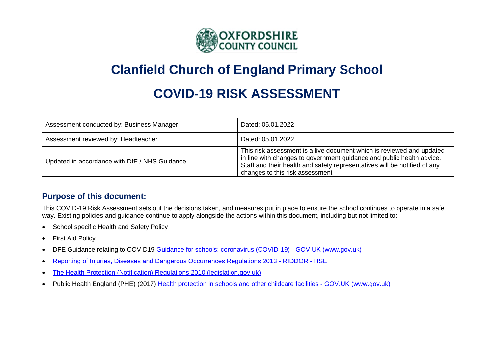

## **Clanfield Church of England Primary School**

# **COVID-19 RISK ASSESSMENT**

| Assessment conducted by: Business Manager     | Dated: 05.01.2022                                                                                                                                                                                                                                              |
|-----------------------------------------------|----------------------------------------------------------------------------------------------------------------------------------------------------------------------------------------------------------------------------------------------------------------|
| Assessment reviewed by: Headteacher           | Dated: 05.01.2022                                                                                                                                                                                                                                              |
| Updated in accordance with DfE / NHS Guidance | This risk assessment is a live document which is reviewed and updated<br>in line with changes to government guidance and public health advice.<br>Staff and their health and safety representatives will be notified of any<br>changes to this risk assessment |

### **Purpose of this document:**

This COVID-19 Risk Assessment sets out the decisions taken, and measures put in place to ensure the school continues to operate in a safe way. Existing policies and guidance continue to apply alongside the actions within this document, including but not limited to:

- School specific Health and Safety Policy
- First Aid Policy
- DFE Guidance relating to COVID19 [Guidance for schools: coronavirus \(COVID-19\) -](https://www.gov.uk/government/collections/guidance-for-schools-coronavirus-covid-19) GOV.UK (www.gov.uk)
- [Reporting of Injuries, Diseases and Dangerous Occurrences Regulations 2013 -](https://www.hse.gov.uk/riddor/index.htm?utm_source=hse.gov.uk&utm_medium=refferal&utm_campaign=riddor&utm_content=home-page-info) RIDDOR HSE
- [The Health Protection \(Notification\) Regulations 2010 \(legislation.gov.uk\)](https://www.legislation.gov.uk/uksi/2010/659/regulation/5/made)
- Public Health England (PHE) (2017) [Health protection in schools and other childcare facilities -](https://www.gov.uk/government/publications/health-protection-in-schools-and-other-childcare-facilities) GOV.UK (www.gov.uk)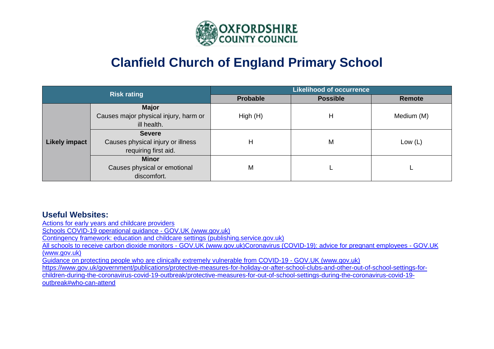

## **Clanfield Church of England Primary School**

|                      | <b>Risk rating</b>                    | <b>Likelihood of occurrence</b> |                 |            |  |  |  |
|----------------------|---------------------------------------|---------------------------------|-----------------|------------|--|--|--|
|                      |                                       | Probable                        | <b>Possible</b> | Remote     |  |  |  |
|                      | <b>Major</b>                          |                                 |                 |            |  |  |  |
|                      | Causes major physical injury, harm or | High(H)                         | Н               | Medium (M) |  |  |  |
|                      | ill health.                           |                                 |                 |            |  |  |  |
|                      | <b>Severe</b>                         |                                 |                 |            |  |  |  |
| <b>Likely impact</b> | Causes physical injury or illness     | H                               | M               | Low $(L)$  |  |  |  |
|                      | requiring first aid.                  |                                 |                 |            |  |  |  |
|                      | <b>Minor</b>                          |                                 |                 |            |  |  |  |
|                      | Causes physical or emotional          | M                               |                 |            |  |  |  |
|                      | discomfort.                           |                                 |                 |            |  |  |  |

### **Useful Websites:**

[Actions for early years and childcare providers](https://www.gov.uk/government/publications/coronavirus-covid-19-early-years-and-childcare-closures/actions-for-early-years-and-childcare-providers-during-the-covid-19-pandemic)

Schools COVID-19 operational guidance - GOV.UK (www.gov.uk)

[Contingency framework: education and childcare settings \(publishing.service.gov.uk\)](https://assets.publishing.service.gov.uk/government/uploads/system/uploads/attachment_data/file/1011704/20210817_Contingency_Framework_FINAL.pdf)

[All schools to receive carbon dioxide monitors -](https://www.gov.uk/government/news/all-schools-to-receive-carbon-dioxide-monitors?utm_medium=email&utm_campaign=govuk-notifications&utm_source=16a4d359-f306-4064-9a24-7581f7734eb1&utm_content=daily) GOV.UK (www.gov.uk[\)Coronavirus \(COVID-19\): advice for pregnant employees -](https://www.gov.uk/government/publications/coronavirus-covid-19-advice-for-pregnant-employees/coronavirus-covid-19-advice-for-pregnant-employees) GOV.UK [\(www.gov.uk\)](https://www.gov.uk/government/publications/coronavirus-covid-19-advice-for-pregnant-employees/coronavirus-covid-19-advice-for-pregnant-employees)

[Guidance on protecting people who are clinically extremely vulnerable from COVID-19 -](https://www.gov.uk/government/publications/guidance-on-shielding-and-protecting-extremely-vulnerable-persons-from-covid-19/guidance-on-shielding-and-protecting-extremely-vulnerable-persons-from-covid-19) GOV.UK (www.gov.uk)

[https://www.gov.uk/government/publications/protective-measures-for-holiday-or-after-school-clubs-and-other-out-of-school-settings-for](https://www.gov.uk/government/publications/protective-measures-for-holiday-or-after-school-clubs-and-other-out-of-school-settings-for-children-during-the-coronavirus-covid-19-outbreak/protective-measures-for-out-of-school-settings-during-the-coronavirus-covid-19-outbreak#who-can-attend)[children-during-the-coronavirus-covid-19-outbreak/protective-measures-for-out-of-school-settings-during-the-coronavirus-covid-19](https://www.gov.uk/government/publications/protective-measures-for-holiday-or-after-school-clubs-and-other-out-of-school-settings-for-children-during-the-coronavirus-covid-19-outbreak/protective-measures-for-out-of-school-settings-during-the-coronavirus-covid-19-outbreak#who-can-attend) [outbreak#who-can-attend](https://www.gov.uk/government/publications/protective-measures-for-holiday-or-after-school-clubs-and-other-out-of-school-settings-for-children-during-the-coronavirus-covid-19-outbreak/protective-measures-for-out-of-school-settings-during-the-coronavirus-covid-19-outbreak#who-can-attend)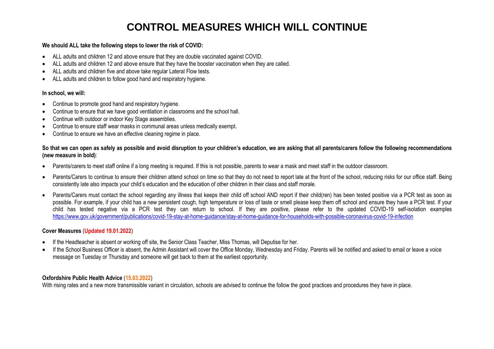### **CONTROL MEASURES WHICH WILL CONTINUE**

#### **We should ALL take the following steps to lower the risk of COVID:**

- ALL adults and children 12 and above ensure that they are double vaccinated against COVID.
- ALL adults and children 12 and above ensure that they have the booster vaccination when they are called.
- ALL adults and children five and above take regular Lateral Flow tests.
- ALL adults and children to follow good hand and respiratory hygiene.

#### **In school, we will:**

- Continue to promote good hand and respiratory hygiene.
- Continue to ensure that we have good ventilation in classrooms and the school hall.
- Continue with outdoor or indoor Key Stage assemblies.
- Continue to ensure staff wear masks in communal areas unless medically exempt.
- Continue to ensure we have an effective cleaning regime in place.

#### **So that we can open as safely as possible and avoid disruption to your children's education, we are asking that all parents/carers follow the following recommendations (new measure in bold)**:

- Parents/carers to meet staff online if a long meeting is required. If this is not possible, parents to wear a mask and meet staff in the outdoor classroom.
- Parents/Carers to continue to ensure their children attend school on time so that they do not need to report late at the front of the school, reducing risks for our office staff. Being consistently late also impacts your child's education and the education of other children in their class and staff morale.
- Parents/Carers must contact the school regarding any illness that keeps their child off school AND report if their child(ren) has been tested positive via a PCR test as soon as possible. For example, if your child has a new persistent cough, high temperature or loss of taste or smell please keep them off school and ensure they have a PCR test. If your child has tested negative via a PCR test they can return to school. If they are positive, please refer to the updated COVID-19 self-isolation examples <https://www.gov.uk/government/publications/covid-19-stay-at-home-guidance/stay-at-home-guidance-for-households-with-possible-coronavirus-covid-19-infection>

#### **Cover Measures** (**Updated 19.01.2022**)

- If the Headteacher is absent or working off site, the Senior Class Teacher, Miss Thomas, will Deputise for her.
- If the School Business Officer is absent, the Admin Assistant will cover the Office Monday, Wednesday and Friday. Parents will be notified and asked to email or leave a voice message on Tuesday or Thursday and someone will get back to them at the earliest opportunity.

#### **Oxfordshire Public Health Advice** (**15.03.2022**)

With rising rates and a new more transmissible variant in circulation, schools are advised to continue the follow the good practices and procedures they have in place.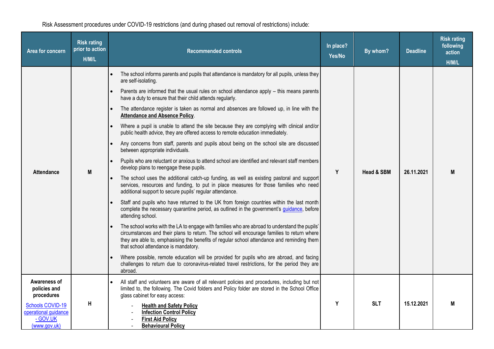Risk Assessment procedures under COVID-19 restrictions (and during phased out removal of restrictions) include:

| Area for concern                                                                                                   | <b>Risk rating</b><br>prior to action<br>H/M/L | <b>Recommended controls</b>                                                                                                                                                                                                                                                                                                                                                                                                                                                                                                                                                                                                                                                                                                                                                                                                                                                                                                                                                                                                                                                                                                                                                                                                                                                                                                                                                                                                                                                                                                                                                                                                                                                                                                                                                                                                                                                                                                | In place?<br>Yes/No | By whom?              | <b>Deadline</b> | <b>Risk rating</b><br>following<br>action<br>H/M/L |
|--------------------------------------------------------------------------------------------------------------------|------------------------------------------------|----------------------------------------------------------------------------------------------------------------------------------------------------------------------------------------------------------------------------------------------------------------------------------------------------------------------------------------------------------------------------------------------------------------------------------------------------------------------------------------------------------------------------------------------------------------------------------------------------------------------------------------------------------------------------------------------------------------------------------------------------------------------------------------------------------------------------------------------------------------------------------------------------------------------------------------------------------------------------------------------------------------------------------------------------------------------------------------------------------------------------------------------------------------------------------------------------------------------------------------------------------------------------------------------------------------------------------------------------------------------------------------------------------------------------------------------------------------------------------------------------------------------------------------------------------------------------------------------------------------------------------------------------------------------------------------------------------------------------------------------------------------------------------------------------------------------------------------------------------------------------------------------------------------------------|---------------------|-----------------------|-----------------|----------------------------------------------------|
| <b>Attendance</b>                                                                                                  | M                                              | The school informs parents and pupils that attendance is mandatory for all pupils, unless they<br>are self-isolating.<br>Parents are informed that the usual rules on school attendance apply - this means parents<br>have a duty to ensure that their child attends regularly.<br>The attendance register is taken as normal and absences are followed up, in line with the<br>$\bullet$<br><b>Attendance and Absence Policy.</b><br>Where a pupil is unable to attend the site because they are complying with clinical and/or<br>public health advice, they are offered access to remote education immediately.<br>Any concerns from staff, parents and pupils about being on the school site are discussed<br>between appropriate individuals.<br>Pupils who are reluctant or anxious to attend school are identified and relevant staff members<br>$\bullet$<br>develop plans to reengage these pupils.<br>The school uses the additional catch-up funding, as well as existing pastoral and support<br>services, resources and funding, to put in place measures for those families who need<br>additional support to secure pupils' regular attendance.<br>Staff and pupils who have returned to the UK from foreign countries within the last month<br>complete the necessary quarantine period, as outlined in the government's guidance, before<br>attending school.<br>The school works with the LA to engage with families who are abroad to understand the pupils'<br>circumstances and their plans to return. The school will encourage families to return where<br>they are able to, emphasising the benefits of regular school attendance and reminding them<br>that school attendance is mandatory.<br>Where possible, remote education will be provided for pupils who are abroad, and facing<br>challenges to return due to coronavirus-related travel restrictions, for the period they are<br>abroad. | Y                   | <b>Head &amp; SBM</b> | 26.11.2021      | M                                                  |
| Awareness of<br>policies and<br>procedures<br>Schools COVID-19<br>operational guidance<br>- GOV.UK<br>(www.gov.uk) | H                                              | All staff and volunteers are aware of all relevant policies and procedures, including but not<br>limited to, the following. The Covid folders and Policy folder are stored in the School Office<br>glass cabinet for easy access:<br><b>Health and Safety Policy</b><br><b>Infection Control Policy</b><br><b>First Aid Policy</b><br><b>Behavioural Policy</b>                                                                                                                                                                                                                                                                                                                                                                                                                                                                                                                                                                                                                                                                                                                                                                                                                                                                                                                                                                                                                                                                                                                                                                                                                                                                                                                                                                                                                                                                                                                                                            | Y                   | <b>SLT</b>            | 15.12.2021      | M                                                  |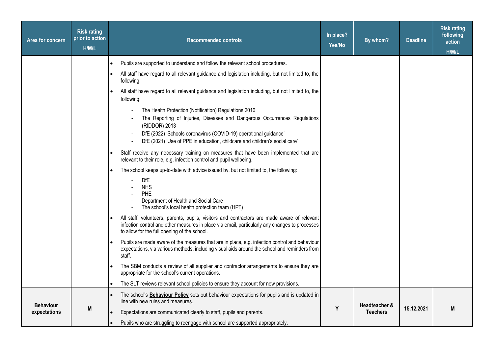| Area for concern | <b>Risk rating</b><br>prior to action<br>H/M/L | <b>Recommended controls</b>                                                                                                                                                                                                                                                                           | In place?<br>Yes/No | By whom?        | <b>Deadline</b> | <b>Risk rating</b><br>following<br>action<br>H/M/L |
|------------------|------------------------------------------------|-------------------------------------------------------------------------------------------------------------------------------------------------------------------------------------------------------------------------------------------------------------------------------------------------------|---------------------|-----------------|-----------------|----------------------------------------------------|
|                  |                                                | Pupils are supported to understand and follow the relevant school procedures.                                                                                                                                                                                                                         |                     |                 |                 |                                                    |
|                  |                                                | All staff have regard to all relevant guidance and legislation including, but not limited to, the<br>following:                                                                                                                                                                                       |                     |                 |                 |                                                    |
|                  |                                                | All staff have regard to all relevant guidance and legislation including, but not limited to, the<br>following:                                                                                                                                                                                       |                     |                 |                 |                                                    |
|                  |                                                | The Health Protection (Notification) Regulations 2010<br>The Reporting of Injuries, Diseases and Dangerous Occurrences Regulations<br>(RIDDOR) 2013<br>DfE (2022) 'Schools coronavirus (COVID-19) operational guidance'<br>DfE (2021) 'Use of PPE in education, childcare and children's social care' |                     |                 |                 |                                                    |
|                  |                                                | Staff receive any necessary training on measures that have been implemented that are<br>relevant to their role, e.g. infection control and pupil wellbeing.                                                                                                                                           |                     |                 |                 |                                                    |
|                  |                                                | The school keeps up-to-date with advice issued by, but not limited to, the following:<br>DfE<br><b>NHS</b><br>PHE<br>Department of Health and Social Care<br>The school's local health protection team (HPT)                                                                                          |                     |                 |                 |                                                    |
|                  |                                                | All staff, volunteers, parents, pupils, visitors and contractors are made aware of relevant<br>infection control and other measures in place via email, particularly any changes to processes<br>to allow for the full opening of the school.                                                         |                     |                 |                 |                                                    |
|                  |                                                | Pupils are made aware of the measures that are in place, e.g. infection control and behaviour<br>expectations, via various methods, including visual aids around the school and reminders from<br>staff.                                                                                              |                     |                 |                 |                                                    |
|                  |                                                | The SBM conducts a review of all supplier and contractor arrangements to ensure they are<br>appropriate for the school's current operations.                                                                                                                                                          |                     |                 |                 |                                                    |
|                  |                                                | The SLT reviews relevant school policies to ensure they account for new provisions.                                                                                                                                                                                                                   |                     |                 |                 |                                                    |
| <b>Behaviour</b> |                                                | The school's Behaviour Policy sets out behaviour expectations for pupils and is updated in<br>line with new rules and measures.                                                                                                                                                                       |                     | Headteacher &   |                 |                                                    |
| expectations     | M                                              | Expectations are communicated clearly to staff, pupils and parents.<br>Pupils who are struggling to reengage with school are supported appropriately.                                                                                                                                                 | Y                   | <b>Teachers</b> | 15.12.2021      | M                                                  |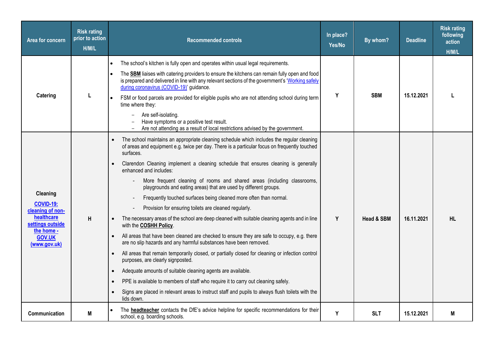| Area for concern                             | <b>Risk rating</b><br>prior to action<br>H/M/L | <b>Recommended controls</b>                                                                                                                                                                                                                          | In place?<br>Yes/No | By whom?              | <b>Deadline</b> | <b>Risk rating</b><br>following<br>action<br>H/M/L |
|----------------------------------------------|------------------------------------------------|------------------------------------------------------------------------------------------------------------------------------------------------------------------------------------------------------------------------------------------------------|---------------------|-----------------------|-----------------|----------------------------------------------------|
|                                              |                                                | The school's kitchen is fully open and operates within usual legal requirements.                                                                                                                                                                     |                     |                       |                 |                                                    |
|                                              |                                                | The <b>SBM</b> liaises with catering providers to ensure the kitchens can remain fully open and food<br>is prepared and delivered in line with any relevant sections of the government's 'Working safely<br>during coronavirus (COVID-19)' guidance. |                     | <b>SBM</b>            | 15.12.2021      |                                                    |
| Catering                                     |                                                | FSM or food parcels are provided for eligible pupils who are not attending school during term<br>time where they:                                                                                                                                    | Y                   |                       |                 |                                                    |
|                                              |                                                | Are self-isolating.<br>Have symptoms or a positive test result.<br>Are not attending as a result of local restrictions advised by the government.                                                                                                    |                     |                       |                 |                                                    |
|                                              |                                                | The school maintains an appropriate cleaning schedule which includes the regular cleaning<br>of areas and equipment e.g. twice per day. There is a particular focus on frequently touched<br>surfaces.                                               |                     | <b>Head &amp; SBM</b> |                 |                                                    |
|                                              |                                                | Clarendon Cleaning implement a cleaning schedule that ensures cleaning is generally<br>enhanced and includes:                                                                                                                                        |                     |                       |                 |                                                    |
|                                              |                                                | More frequent cleaning of rooms and shared areas (including classrooms,<br>playgrounds and eating areas) that are used by different groups.                                                                                                          |                     |                       | 16.11.2021      |                                                    |
| Cleaning<br><b>COVID-19:</b>                 |                                                | Frequently touched surfaces being cleaned more often than normal.                                                                                                                                                                                    |                     |                       |                 |                                                    |
| cleaning of non-                             |                                                | Provision for ensuring toilets are cleaned regularly.                                                                                                                                                                                                |                     |                       |                 |                                                    |
| healthcare<br>settings outside<br>the home - | H                                              | The necessary areas of the school are deep cleaned with suitable cleaning agents and in line<br>with the COSHH Policy.                                                                                                                               | Y                   |                       |                 | <b>HL</b>                                          |
| <b>GOV.UK</b><br>(www.gov.uk)                |                                                | All areas that have been cleaned are checked to ensure they are safe to occupy, e.g. there<br>are no slip hazards and any harmful substances have been removed.                                                                                      |                     |                       |                 |                                                    |
|                                              |                                                | All areas that remain temporarily closed, or partially closed for cleaning or infection control<br>purposes, are clearly signposted.                                                                                                                 |                     |                       |                 |                                                    |
|                                              |                                                | Adequate amounts of suitable cleaning agents are available.                                                                                                                                                                                          |                     |                       |                 |                                                    |
|                                              |                                                | PPE is available to members of staff who require it to carry out cleaning safely.<br>$\bullet$                                                                                                                                                       |                     |                       |                 |                                                    |
|                                              |                                                | Signs are placed in relevant areas to instruct staff and pupils to always flush toilets with the<br>lids down.                                                                                                                                       |                     |                       |                 |                                                    |
| Communication                                | M                                              | The headteacher contacts the DfE's advice helpline for specific recommendations for their<br>school, e.g. boarding schools.                                                                                                                          | Y                   | <b>SLT</b>            | 15.12.2021      | M                                                  |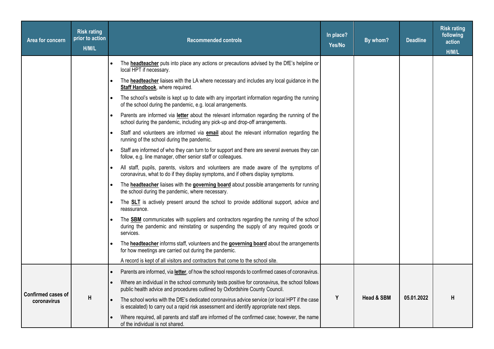| Area for concern                  | <b>Risk rating</b><br>prior to action<br>H/M/L | <b>Recommended controls</b>                                                                                                                                                                          |   | By whom?              | <b>Deadline</b> | <b>Risk rating</b><br>following<br>action<br>H/M/L |
|-----------------------------------|------------------------------------------------|------------------------------------------------------------------------------------------------------------------------------------------------------------------------------------------------------|---|-----------------------|-----------------|----------------------------------------------------|
|                                   |                                                | The <b>headteacher</b> puts into place any actions or precautions advised by the DfE's helpline or<br>local HPT if necessary.                                                                        |   |                       |                 |                                                    |
|                                   |                                                | The <b>headteacher</b> liaises with the LA where necessary and includes any local guidance in the<br>Staff Handbook, where required.                                                                 |   |                       |                 |                                                    |
|                                   |                                                | The school's website is kept up to date with any important information regarding the running<br>of the school during the pandemic, e.g. local arrangements.                                          |   |                       |                 |                                                    |
|                                   |                                                | Parents are informed via <b>letter</b> about the relevant information regarding the running of the<br>school during the pandemic, including any pick-up and drop-off arrangements.                   |   |                       |                 |                                                    |
|                                   |                                                | Staff and volunteers are informed via <b>email</b> about the relevant information regarding the<br>running of the school during the pandemic.                                                        |   |                       |                 |                                                    |
|                                   |                                                | Staff are informed of who they can turn to for support and there are several avenues they can<br>follow, e.g. line manager, other senior staff or colleagues.                                        |   |                       |                 |                                                    |
|                                   |                                                | All staff, pupils, parents, visitors and volunteers are made aware of the symptoms of<br>coronavirus, what to do if they display symptoms, and if others display symptoms.                           |   |                       |                 |                                                    |
|                                   |                                                | The headteacher liaises with the governing board about possible arrangements for running<br>the school during the pandemic, where necessary.                                                         |   |                       |                 |                                                    |
|                                   |                                                | The <b>SLT</b> is actively present around the school to provide additional support, advice and<br>reassurance.                                                                                       |   |                       |                 |                                                    |
|                                   |                                                | The <b>SBM</b> communicates with suppliers and contractors regarding the running of the school<br>during the pandemic and reinstating or suspending the supply of any required goods or<br>services. |   |                       |                 |                                                    |
|                                   |                                                | The <b>headteacher</b> informs staff, volunteers and the governing board about the arrangements<br>for how meetings are carried out during the pandemic.                                             |   |                       |                 |                                                    |
|                                   |                                                | A record is kept of all visitors and contractors that come to the school site.                                                                                                                       |   |                       |                 |                                                    |
|                                   |                                                | Parents are informed, via letter, of how the school responds to confirmed cases of coronavirus.                                                                                                      |   |                       |                 |                                                    |
|                                   |                                                | Where an individual in the school community tests positive for coronavirus, the school follows<br>public health advice and procedures outlined by Oxfordshire County Council.                        |   |                       |                 |                                                    |
| Confirmed cases of<br>coronavirus | Н                                              | The school works with the DfE's dedicated coronavirus advice service (or local HPT if the case<br>is escalated) to carry out a rapid risk assessment and identify appropriate next steps.            | Y | <b>Head &amp; SBM</b> | 05.01.2022      | H                                                  |
|                                   |                                                | Where required, all parents and staff are informed of the confirmed case; however, the name<br>of the individual is not shared.                                                                      |   |                       |                 |                                                    |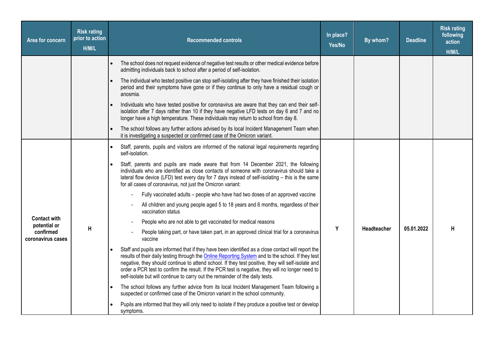| Area for concern                    | <b>Risk rating</b><br>prior to action<br>H/M/L | <b>Recommended controls</b>                                                                                                                                                                                                                                                                                                                                                                                                                                                                                | In place?<br>Yes/No | By whom?           | <b>Deadline</b> | <b>Risk rating</b><br>following<br>action<br>H/M/L |
|-------------------------------------|------------------------------------------------|------------------------------------------------------------------------------------------------------------------------------------------------------------------------------------------------------------------------------------------------------------------------------------------------------------------------------------------------------------------------------------------------------------------------------------------------------------------------------------------------------------|---------------------|--------------------|-----------------|----------------------------------------------------|
|                                     |                                                | The school does not request evidence of negative test results or other medical evidence before<br>admitting individuals back to school after a period of self-isolation.                                                                                                                                                                                                                                                                                                                                   |                     |                    |                 |                                                    |
|                                     |                                                | The individual who tested positive can stop self-isolating after they have finished their isolation<br>period and their symptoms have gone or if they continue to only have a residual cough or<br>anosmia.                                                                                                                                                                                                                                                                                                |                     |                    |                 |                                                    |
|                                     |                                                | Individuals who have tested positive for coronavirus are aware that they can end their self-<br>isolation after 7 days rather than 10 if they have negative LFD tests on day 6 and 7 and no<br>longer have a high temperature. These individuals may return to school from day 8.                                                                                                                                                                                                                          |                     |                    |                 |                                                    |
|                                     |                                                | The school follows any further actions advised by its local Incident Management Team when<br>it is investigating a suspected or confirmed case of the Omicron variant.                                                                                                                                                                                                                                                                                                                                     |                     |                    |                 |                                                    |
|                                     |                                                | Staff, parents, pupils and visitors are informed of the national legal requirements regarding<br>self-isolation.                                                                                                                                                                                                                                                                                                                                                                                           |                     |                    |                 |                                                    |
|                                     |                                                | Staff, parents and pupils are made aware that from 14 December 2021, the following<br>individuals who are identified as close contacts of someone with coronavirus should take a<br>lateral flow device (LFD) test every day for 7 days instead of self-isolating - this is the same<br>for all cases of coronavirus, not just the Omicron variant:                                                                                                                                                        |                     |                    |                 |                                                    |
|                                     |                                                | Fully vaccinated adults – people who have had two doses of an approved vaccine                                                                                                                                                                                                                                                                                                                                                                                                                             |                     |                    |                 |                                                    |
|                                     |                                                | All children and young people aged 5 to 18 years and 6 months, regardless of their<br>vaccination status                                                                                                                                                                                                                                                                                                                                                                                                   |                     |                    |                 |                                                    |
| <b>Contact with</b><br>potential or |                                                | People who are not able to get vaccinated for medical reasons                                                                                                                                                                                                                                                                                                                                                                                                                                              |                     |                    |                 |                                                    |
| confirmed<br>coronavirus cases      | $\mathsf{H}$                                   | People taking part, or have taken part, in an approved clinical trial for a coronavirus<br>vaccine                                                                                                                                                                                                                                                                                                                                                                                                         | Y                   | <b>Headteacher</b> | 05.01.2022      | н                                                  |
|                                     |                                                | Staff and pupils are informed that if they have been identified as a close contact will report the<br>results of their daily testing through the <b>Online Reporting System</b> and to the school. If they test<br>negative, they should continue to attend school. If they test positive, they will self-isolate and<br>order a PCR test to confirm the result. If the PCR test is negative, they will no longer need to<br>self-isolate but will continue to carry out the remainder of the daily tests. |                     |                    |                 |                                                    |
|                                     |                                                | The school follows any further advice from its local Incident Management Team following a<br>suspected or confirmed case of the Omicron variant in the school community.                                                                                                                                                                                                                                                                                                                                   |                     |                    |                 |                                                    |
|                                     |                                                | Pupils are informed that they will only need to isolate if they produce a positive test or develop<br>symptoms.                                                                                                                                                                                                                                                                                                                                                                                            |                     |                    |                 |                                                    |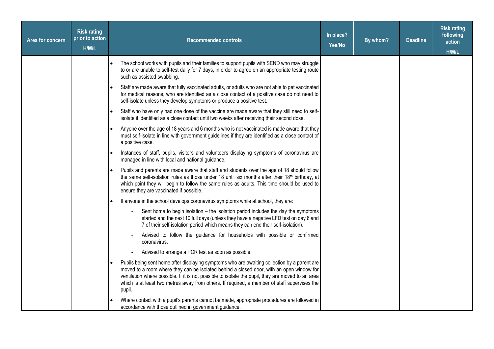| Area for concern | <b>Risk rating</b><br>prior to action<br>H/M/L | <b>Recommended controls</b>                                                                                                                                                                                                                                                                                                                                                                             | In place?<br>Yes/No | By whom? | <b>Deadline</b> | <b>Risk rating</b><br>following<br>action<br>H/M/L |
|------------------|------------------------------------------------|---------------------------------------------------------------------------------------------------------------------------------------------------------------------------------------------------------------------------------------------------------------------------------------------------------------------------------------------------------------------------------------------------------|---------------------|----------|-----------------|----------------------------------------------------|
|                  |                                                | The school works with pupils and their families to support pupils with SEND who may struggle<br>to or are unable to self-test daily for 7 days, in order to agree on an appropriate testing route<br>such as assisted swabbing.                                                                                                                                                                         |                     |          |                 |                                                    |
|                  |                                                | Staff are made aware that fully vaccinated adults, or adults who are not able to get vaccinated<br>for medical reasons, who are identified as a close contact of a positive case do not need to<br>self-isolate unless they develop symptoms or produce a positive test.                                                                                                                                |                     |          |                 |                                                    |
|                  |                                                | Staff who have only had one dose of the vaccine are made aware that they still need to self-<br>isolate if identified as a close contact until two weeks after receiving their second dose.                                                                                                                                                                                                             |                     |          |                 |                                                    |
|                  |                                                | Anyone over the age of 18 years and 6 months who is not vaccinated is made aware that they<br>must self-isolate in line with government guidelines if they are identified as a close contact of<br>a positive case.                                                                                                                                                                                     |                     |          |                 |                                                    |
|                  |                                                | Instances of staff, pupils, visitors and volunteers displaying symptoms of coronavirus are<br>managed in line with local and national guidance.                                                                                                                                                                                                                                                         |                     |          |                 |                                                    |
|                  |                                                | Pupils and parents are made aware that staff and students over the age of 18 should follow<br>the same self-isolation rules as those under 18 until six months after their 18 <sup>th</sup> birthday, at<br>which point they will begin to follow the same rules as adults. This time should be used to<br>ensure they are vaccinated if possible.                                                      |                     |          |                 |                                                    |
|                  |                                                | If anyone in the school develops coronavirus symptoms while at school, they are:                                                                                                                                                                                                                                                                                                                        |                     |          |                 |                                                    |
|                  |                                                | Sent home to begin isolation - the isolation period includes the day the symptoms<br>started and the next 10 full days (unless they have a negative LFD test on day 6 and<br>7 of their self-isolation period which means they can end their self-isolation).                                                                                                                                           |                     |          |                 |                                                    |
|                  |                                                | Advised to follow the guidance for households with possible or confirmed<br>coronavirus.                                                                                                                                                                                                                                                                                                                |                     |          |                 |                                                    |
|                  |                                                | Advised to arrange a PCR test as soon as possible.                                                                                                                                                                                                                                                                                                                                                      |                     |          |                 |                                                    |
|                  |                                                | Pupils being sent home after displaying symptoms who are awaiting collection by a parent are<br>moved to a room where they can be isolated behind a closed door, with an open window for<br>ventilation where possible. If it is not possible to isolate the pupil, they are moved to an area<br>which is at least two metres away from others. If required, a member of staff supervises the<br>pupil. |                     |          |                 |                                                    |
|                  |                                                | Where contact with a pupil's parents cannot be made, appropriate procedures are followed in<br>accordance with those outlined in government guidance.                                                                                                                                                                                                                                                   |                     |          |                 |                                                    |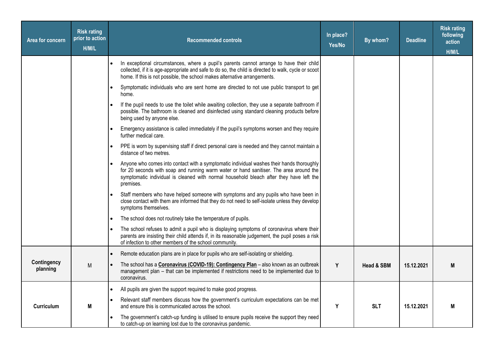| Area for concern        | <b>Risk rating</b><br>prior to action<br>H/M/L | <b>Recommended controls</b>                                                                                                                                                                                                                                                                 | In place?<br>Yes/No | By whom?   | <b>Deadline</b> | <b>Risk rating</b><br>following<br>action<br>H/M/L |
|-------------------------|------------------------------------------------|---------------------------------------------------------------------------------------------------------------------------------------------------------------------------------------------------------------------------------------------------------------------------------------------|---------------------|------------|-----------------|----------------------------------------------------|
|                         |                                                | In exceptional circumstances, where a pupil's parents cannot arrange to have their child<br>collected, if it is age-appropriate and safe to do so, the child is directed to walk, cycle or scoot<br>home. If this is not possible, the school makes alternative arrangements.               |                     |            |                 |                                                    |
|                         |                                                | Symptomatic individuals who are sent home are directed to not use public transport to get<br>home.                                                                                                                                                                                          |                     |            |                 |                                                    |
|                         |                                                | If the pupil needs to use the toilet while awaiting collection, they use a separate bathroom if<br>possible. The bathroom is cleaned and disinfected using standard cleaning products before<br>being used by anyone else.                                                                  |                     |            |                 |                                                    |
|                         |                                                | Emergency assistance is called immediately if the pupil's symptoms worsen and they require<br>further medical care.                                                                                                                                                                         |                     |            |                 |                                                    |
|                         |                                                | PPE is worn by supervising staff if direct personal care is needed and they cannot maintain a<br>distance of two metres.                                                                                                                                                                    |                     |            |                 |                                                    |
|                         |                                                | Anyone who comes into contact with a symptomatic individual washes their hands thoroughly<br>for 20 seconds with soap and running warm water or hand sanitiser. The area around the<br>symptomatic individual is cleaned with normal household bleach after they have left the<br>premises. |                     |            |                 |                                                    |
|                         |                                                | Staff members who have helped someone with symptoms and any pupils who have been in<br>close contact with them are informed that they do not need to self-isolate unless they develop<br>symptoms themselves.                                                                               |                     |            |                 |                                                    |
|                         |                                                | The school does not routinely take the temperature of pupils.                                                                                                                                                                                                                               |                     |            |                 |                                                    |
|                         |                                                | The school refuses to admit a pupil who is displaying symptoms of coronavirus where their<br>parents are insisting their child attends if, in its reasonable judgement, the pupil poses a risk<br>of infection to other members of the school community.                                    |                     |            |                 |                                                    |
|                         |                                                | Remote education plans are in place for pupils who are self-isolating or shielding.                                                                                                                                                                                                         |                     |            |                 |                                                    |
| Contingency<br>planning | M                                              | The school has a Coronavirus (COVID-19): Contingency Plan - also known as an outbreak<br>management plan - that can be implemented if restrictions need to be implemented due to<br>coronavirus.                                                                                            | Y                   | Head & SBM | 15.12.2021      | M                                                  |
|                         |                                                | All pupils are given the support required to make good progress.                                                                                                                                                                                                                            |                     |            |                 |                                                    |
| Curriculum              | M                                              | Relevant staff members discuss how the government's curriculum expectations can be met<br>and ensure this is communicated across the school.                                                                                                                                                | Y                   | <b>SLT</b> | 15.12.2021      | M                                                  |
|                         |                                                | The government's catch-up funding is utilised to ensure pupils receive the support they need<br>to catch-up on learning lost due to the coronavirus pandemic.                                                                                                                               |                     |            |                 |                                                    |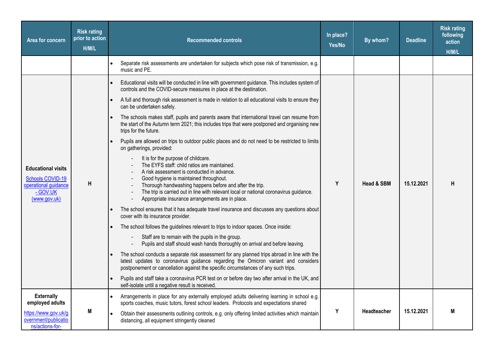| Area for concern                                                                                  | <b>Risk rating</b><br>prior to action<br>H/M/L | <b>Recommended controls</b>                                                                                                                                                                                                                                                                |                                                                                       | In place?<br>Yes/No | By whom?    | <b>Deadline</b> | <b>Risk rating</b><br>following<br>action<br>H/M/L |
|---------------------------------------------------------------------------------------------------|------------------------------------------------|--------------------------------------------------------------------------------------------------------------------------------------------------------------------------------------------------------------------------------------------------------------------------------------------|---------------------------------------------------------------------------------------|---------------------|-------------|-----------------|----------------------------------------------------|
|                                                                                                   |                                                | Separate risk assessments are undertaken for subjects which pose risk of transmission, e.g.<br>music and PE.                                                                                                                                                                               |                                                                                       |                     |             |                 |                                                    |
|                                                                                                   |                                                | Educational visits will be conducted in line with government guidance. This includes system of<br>controls and the COVID-secure measures in place at the destination.                                                                                                                      |                                                                                       |                     |             |                 |                                                    |
|                                                                                                   |                                                | A full and thorough risk assessment is made in relation to all educational visits to ensure they<br>can be undertaken safely.                                                                                                                                                              |                                                                                       |                     |             | 15.12.2021      |                                                    |
| <b>Educational visits</b><br>Schools COVID-19<br>operational guidance<br>- GOV.UK<br>(www.gov.uk) |                                                | The schools makes staff, pupils and parents aware that international travel can resume from<br>the start of the Autumn term 2021; this includes trips that were postponed and organising new<br>trips for the future.                                                                      |                                                                                       |                     | Head & SBM  |                 | н                                                  |
|                                                                                                   | Н                                              | Pupils are allowed on trips to outdoor public places and do not need to be restricted to limits<br>on gatherings, provided:                                                                                                                                                                |                                                                                       | Y                   |             |                 |                                                    |
|                                                                                                   |                                                | It is for the purpose of childcare.<br>The EYFS staff: child ratios are maintained.<br>A risk assessment is conducted in advance.<br>Good hygiene is maintained throughout.<br>Thorough handwashing happens before and after the trip.<br>Appropriate insurance arrangements are in place. | The trip is carried out in line with relevant local or national coronavirus guidance. |                     |             |                 |                                                    |
|                                                                                                   |                                                | The school ensures that it has adequate travel insurance and discusses any questions about<br>cover with its insurance provider.                                                                                                                                                           |                                                                                       |                     |             |                 |                                                    |
|                                                                                                   |                                                | The school follows the guidelines relevant to trips to indoor spaces. Once inside:                                                                                                                                                                                                         |                                                                                       |                     |             |                 |                                                    |
|                                                                                                   |                                                | Staff are to remain with the pupils in the group.                                                                                                                                                                                                                                          | Pupils and staff should wash hands thoroughly on arrival and before leaving.          |                     |             |                 |                                                    |
|                                                                                                   |                                                | The school conducts a separate risk assessment for any planned trips abroad in line with the<br>latest updates to coronavirus guidance regarding the Omicron variant and considers<br>postponement or cancellation against the specific circumstances of any such trips.                   |                                                                                       |                     |             |                 |                                                    |
|                                                                                                   |                                                | Pupils and staff take a coronavirus PCR test on or before day two after arrival in the UK, and<br>self-isolate until a negative result is received.                                                                                                                                        |                                                                                       |                     |             |                 |                                                    |
| <b>Externally</b><br>employed adults                                                              |                                                | Arrangements in place for any externally employed adults delivering learning in school e.g.<br>sports coaches, music tutors, forest school leaders. Protocols and expectations shared                                                                                                      |                                                                                       |                     |             |                 |                                                    |
| https://www.gov.uk/g<br>overnment/publicatio<br>ns/actions-for-                                   | M                                              | Obtain their assessments outlining controls, e.g. only offering limited activities which maintain<br>distancing, all equipment stringently cleaned                                                                                                                                         |                                                                                       | Y                   | Headteacher | 15.12.2021      | M                                                  |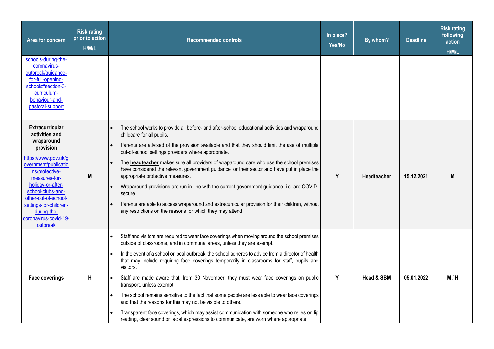| Area for concern                                                                                                                                                                                                                                                                                       | <b>Risk rating</b><br>prior to action<br>H/M/L | <b>Recommended controls</b>                                                                                                                                                                                                                                                                                                                                                                                                                                                                                                                                                                                                                                                                                                                                                                                                                                                      | In place?<br>Yes/No | By whom?              | <b>Deadline</b> | <b>Risk rating</b><br>following<br>action<br>H/M/L |
|--------------------------------------------------------------------------------------------------------------------------------------------------------------------------------------------------------------------------------------------------------------------------------------------------------|------------------------------------------------|----------------------------------------------------------------------------------------------------------------------------------------------------------------------------------------------------------------------------------------------------------------------------------------------------------------------------------------------------------------------------------------------------------------------------------------------------------------------------------------------------------------------------------------------------------------------------------------------------------------------------------------------------------------------------------------------------------------------------------------------------------------------------------------------------------------------------------------------------------------------------------|---------------------|-----------------------|-----------------|----------------------------------------------------|
| schools-during-the-<br>coronavirus-<br>outbreak/guidance-<br>for-full-opening-<br>schools#section-3-<br>curriculum-<br>behaviour-and-<br>pastoral-support                                                                                                                                              |                                                |                                                                                                                                                                                                                                                                                                                                                                                                                                                                                                                                                                                                                                                                                                                                                                                                                                                                                  |                     |                       |                 |                                                    |
| <b>Extracurricular</b><br>activities and<br>wraparound<br>provision<br>https://www.gov.uk/g<br>overnment/publicatio<br>ns/protective-<br>measures-for-<br>holiday-or-after-<br>school-clubs-and-<br>other-out-of-school-<br>settings-for-children-<br>during-the-<br>coronavirus-covid-19-<br>outbreak | M                                              | The school works to provide all before- and after-school educational activities and wraparound<br>childcare for all pupils.<br>Parents are advised of the provision available and that they should limit the use of multiple<br>out-of-school settings providers where appropriate.<br>The headteacher makes sure all providers of wraparound care who use the school premises<br>$\bullet$<br>have considered the relevant government guidance for their sector and have put in place the<br>appropriate protective measures.<br>Wraparound provisions are run in line with the current government guidance, i.e. are COVID-<br>secure.<br>Parents are able to access wraparound and extracurricular provision for their children, without<br>any restrictions on the reasons for which they may attend                                                                         | Y                   | Headteacher           | 15.12.2021      | M                                                  |
| <b>Face coverings</b>                                                                                                                                                                                                                                                                                  | $\mathsf{H}$                                   | Staff and visitors are required to wear face coverings when moving around the school premises<br>$\bullet$<br>outside of classrooms, and in communal areas, unless they are exempt.<br>In the event of a school or local outbreak, the school adheres to advice from a director of health<br>that may include requiring face coverings temporarily in classrooms for staff, pupils and<br>visitors.<br>Staff are made aware that, from 30 November, they must wear face coverings on public<br>transport, unless exempt.<br>The school remains sensitive to the fact that some people are less able to wear face coverings<br>and that the reasons for this may not be visible to others.<br>Transparent face coverings, which may assist communication with someone who relies on lip<br>reading, clear sound or facial expressions to communicate, are worn where appropriate. | Y                   | <b>Head &amp; SBM</b> | 05.01.2022      | M/H                                                |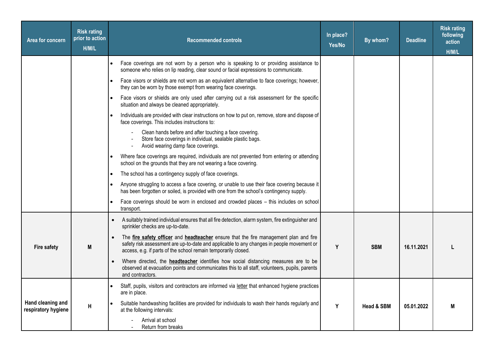| Area for concern                         | <b>Risk rating</b><br>prior to action<br>H/M/L | <b>Recommended controls</b>                                                                                                                                                                                                                          | In place?<br>Yes/No | By whom?              | <b>Deadline</b> | <b>Risk rating</b><br>following<br>action<br>H/M/L |
|------------------------------------------|------------------------------------------------|------------------------------------------------------------------------------------------------------------------------------------------------------------------------------------------------------------------------------------------------------|---------------------|-----------------------|-----------------|----------------------------------------------------|
|                                          |                                                | Face coverings are not worn by a person who is speaking to or providing assistance to<br>someone who relies on lip reading, clear sound or facial expressions to communicate.                                                                        |                     |                       |                 |                                                    |
|                                          |                                                | Face visors or shields are not worn as an equivalent alternative to face coverings; however,<br>they can be worn by those exempt from wearing face coverings.                                                                                        |                     |                       |                 |                                                    |
|                                          |                                                | Face visors or shields are only used after carrying out a risk assessment for the specific<br>situation and always be cleaned appropriately.                                                                                                         |                     |                       |                 |                                                    |
|                                          |                                                | Individuals are provided with clear instructions on how to put on, remove, store and dispose of<br>face coverings. This includes instructions to:                                                                                                    |                     |                       |                 |                                                    |
|                                          |                                                | Clean hands before and after touching a face covering.<br>Store face coverings in individual, sealable plastic bags.<br>Avoid wearing damp face coverings.                                                                                           |                     |                       |                 |                                                    |
|                                          |                                                | Where face coverings are required, individuals are not prevented from entering or attending<br>school on the grounds that they are not wearing a face covering.                                                                                      |                     |                       |                 |                                                    |
|                                          |                                                | The school has a contingency supply of face coverings.                                                                                                                                                                                               |                     |                       |                 |                                                    |
|                                          |                                                | Anyone struggling to access a face covering, or unable to use their face covering because it<br>has been forgotten or soiled, is provided with one from the school's contingency supply.                                                             |                     |                       |                 |                                                    |
|                                          |                                                | Face coverings should be worn in enclosed and crowded places - this includes on school<br>transport.                                                                                                                                                 |                     |                       |                 |                                                    |
|                                          |                                                | A suitably trained individual ensures that all fire detection, alarm system, fire extinguisher and<br>sprinkler checks are up-to-date.                                                                                                               |                     |                       |                 |                                                    |
| <b>Fire safety</b>                       | M                                              | The fire safety officer and headteacher ensure that the fire management plan and fire<br>safety risk assessment are up-to-date and applicable to any changes in people movement or<br>access, e.g. if parts of the school remain temporarily closed. | Y                   | <b>SBM</b>            | 16.11.2021      |                                                    |
|                                          |                                                | Where directed, the <b>headteacher</b> identifies how social distancing measures are to be<br>observed at evacuation points and communicates this to all staff, volunteers, pupils, parents<br>and contractors.                                      |                     |                       |                 |                                                    |
|                                          |                                                | Staff, pupils, visitors and contractors are informed via letter that enhanced hygiene practices<br>are in place.                                                                                                                                     |                     |                       |                 |                                                    |
| Hand cleaning and<br>respiratory hygiene | Н                                              | Suitable handwashing facilities are provided for individuals to wash their hands regularly and<br>at the following intervals:                                                                                                                        | Y                   | <b>Head &amp; SBM</b> | 05.01.2022      | M                                                  |
|                                          |                                                | Arrival at school<br>Return from breaks                                                                                                                                                                                                              |                     |                       |                 |                                                    |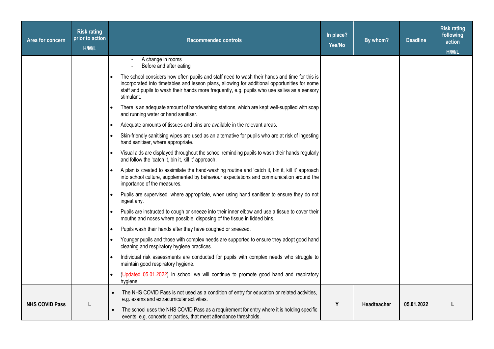| Area for concern      | <b>Risk rating</b><br>prior to action<br>H/M/L | <b>Recommended controls</b>                                                                                                                                                                                                                                                                                   | In place?<br>Yes/No | By whom?    | <b>Deadline</b> | <b>Risk rating</b><br>following<br>action<br>H/M/L |
|-----------------------|------------------------------------------------|---------------------------------------------------------------------------------------------------------------------------------------------------------------------------------------------------------------------------------------------------------------------------------------------------------------|---------------------|-------------|-----------------|----------------------------------------------------|
|                       |                                                | A change in rooms<br>Before and after eating                                                                                                                                                                                                                                                                  |                     |             |                 |                                                    |
|                       |                                                | The school considers how often pupils and staff need to wash their hands and time for this is<br>incorporated into timetables and lesson plans, allowing for additional opportunities for some<br>staff and pupils to wash their hands more frequently, e.g. pupils who use saliva as a sensory<br>stimulant. |                     |             |                 |                                                    |
|                       |                                                | There is an adequate amount of handwashing stations, which are kept well-supplied with soap<br>and running water or hand sanitiser.                                                                                                                                                                           |                     |             |                 |                                                    |
|                       |                                                | Adequate amounts of tissues and bins are available in the relevant areas.                                                                                                                                                                                                                                     |                     |             |                 |                                                    |
|                       |                                                | Skin-friendly sanitising wipes are used as an alternative for pupils who are at risk of ingesting<br>hand sanitiser, where appropriate.                                                                                                                                                                       |                     |             |                 |                                                    |
|                       |                                                | Visual aids are displayed throughout the school reminding pupils to wash their hands regularly<br>and follow the 'catch it, bin it, kill it' approach.                                                                                                                                                        |                     |             |                 |                                                    |
|                       |                                                | A plan is created to assimilate the hand-washing routine and 'catch it, bin it, kill it' approach<br>into school culture, supplemented by behaviour expectations and communication around the<br>importance of the measures.                                                                                  |                     |             |                 |                                                    |
|                       |                                                | Pupils are supervised, where appropriate, when using hand sanitiser to ensure they do not<br>ingest any.                                                                                                                                                                                                      |                     |             |                 |                                                    |
|                       |                                                | Pupils are instructed to cough or sneeze into their inner elbow and use a tissue to cover their<br>mouths and noses where possible, disposing of the tissue in lidded bins.                                                                                                                                   |                     |             |                 |                                                    |
|                       |                                                | Pupils wash their hands after they have coughed or sneezed.                                                                                                                                                                                                                                                   |                     |             |                 |                                                    |
|                       |                                                | Younger pupils and those with complex needs are supported to ensure they adopt good hand<br>cleaning and respiratory hygiene practices.                                                                                                                                                                       |                     |             |                 |                                                    |
|                       |                                                | Individual risk assessments are conducted for pupils with complex needs who struggle to<br>maintain good respiratory hygiene.                                                                                                                                                                                 |                     |             |                 |                                                    |
|                       |                                                | (Updated 05.01.2022) In school we will continue to promote good hand and respiratory<br>hygiene                                                                                                                                                                                                               |                     |             |                 |                                                    |
|                       |                                                | The NHS COVID Pass is not used as a condition of entry for education or related activities,<br>e.g. exams and extracurricular activities.                                                                                                                                                                     |                     |             |                 |                                                    |
| <b>NHS COVID Pass</b> |                                                | The school uses the NHS COVID Pass as a requirement for entry where it is holding specific<br>events, e.g. concerts or parties, that meet attendance thresholds.                                                                                                                                              | Y                   | Headteacher | 05.01.2022      |                                                    |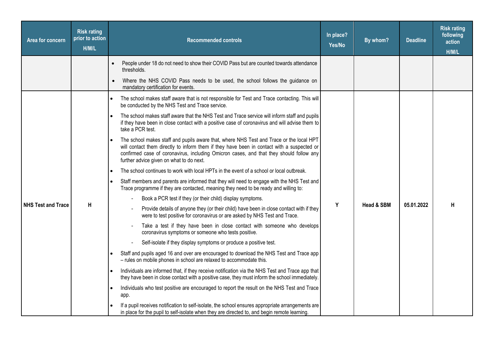| Area for concern          | <b>Risk rating</b><br>prior to action<br>H/M/L | <b>Recommended controls</b>                                                                                                                                                                                                                                                                                                  | In place?<br>Yes/No | By whom?              | <b>Deadline</b> | <b>Risk rating</b><br>following<br>action<br>H/M/L |
|---------------------------|------------------------------------------------|------------------------------------------------------------------------------------------------------------------------------------------------------------------------------------------------------------------------------------------------------------------------------------------------------------------------------|---------------------|-----------------------|-----------------|----------------------------------------------------|
|                           |                                                | People under 18 do not need to show their COVID Pass but are counted towards attendance<br>thresholds.                                                                                                                                                                                                                       |                     |                       |                 |                                                    |
|                           |                                                | Where the NHS COVID Pass needs to be used, the school follows the guidance on<br>$\bullet$<br>mandatory certification for events.                                                                                                                                                                                            |                     |                       |                 |                                                    |
|                           |                                                | The school makes staff aware that is not responsible for Test and Trace contacting. This will<br>be conducted by the NHS Test and Trace service.                                                                                                                                                                             |                     |                       |                 |                                                    |
|                           |                                                | The school makes staff aware that the NHS Test and Trace service will inform staff and pupils<br>if they have been in close contact with a positive case of coronavirus and will advise them to<br>take a PCR test.                                                                                                          |                     |                       |                 |                                                    |
|                           |                                                | The school makes staff and pupils aware that, where NHS Test and Trace or the local HPT<br>will contact them directly to inform them if they have been in contact with a suspected or<br>confirmed case of coronavirus, including Omicron cases, and that they should follow any<br>further advice given on what to do next. |                     |                       |                 |                                                    |
|                           |                                                | The school continues to work with local HPTs in the event of a school or local outbreak.                                                                                                                                                                                                                                     |                     |                       |                 |                                                    |
|                           |                                                | Staff members and parents are informed that they will need to engage with the NHS Test and<br>Trace programme if they are contacted, meaning they need to be ready and willing to:                                                                                                                                           | Y                   | <b>Head &amp; SBM</b> |                 |                                                    |
|                           |                                                | Book a PCR test if they (or their child) display symptoms.                                                                                                                                                                                                                                                                   |                     |                       |                 |                                                    |
| <b>NHS Test and Trace</b> | H                                              | Provide details of anyone they (or their child) have been in close contact with if they<br>were to test positive for coronavirus or are asked by NHS Test and Trace.                                                                                                                                                         |                     |                       | 05.01.2022      | H                                                  |
|                           |                                                | Take a test if they have been in close contact with someone who develops<br>coronavirus symptoms or someone who tests positive.                                                                                                                                                                                              |                     |                       |                 |                                                    |
|                           |                                                | Self-isolate if they display symptoms or produce a positive test.                                                                                                                                                                                                                                                            |                     |                       |                 |                                                    |
|                           |                                                | Staff and pupils aged 16 and over are encouraged to download the NHS Test and Trace app<br>- rules on mobile phones in school are relaxed to accommodate this.                                                                                                                                                               |                     |                       |                 |                                                    |
|                           |                                                | Individuals are informed that, if they receive notification via the NHS Test and Trace app that<br>they have been in close contact with a positive case, they must inform the school immediately.                                                                                                                            |                     |                       |                 |                                                    |
|                           |                                                | Individuals who test positive are encouraged to report the result on the NHS Test and Trace<br>app.                                                                                                                                                                                                                          |                     |                       |                 |                                                    |
|                           |                                                | If a pupil receives notification to self-isolate, the school ensures appropriate arrangements are<br>in place for the pupil to self-isolate when they are directed to, and begin remote learning.                                                                                                                            |                     |                       |                 |                                                    |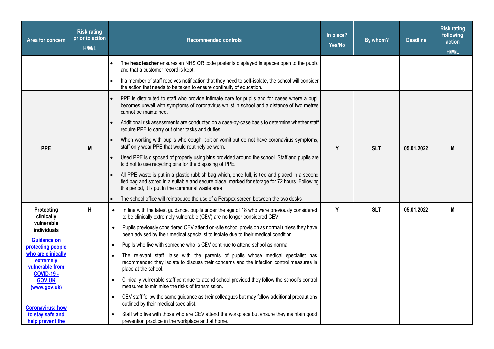| Area for concern                                                        | <b>Risk rating</b><br>prior to action<br>H/M/L | <b>Recommended controls</b>                                                                                                                                                                                                                            | In place?<br>Yes/No | By whom?   | <b>Deadline</b> | <b>Risk rating</b><br>following<br>action<br>H/M/L |
|-------------------------------------------------------------------------|------------------------------------------------|--------------------------------------------------------------------------------------------------------------------------------------------------------------------------------------------------------------------------------------------------------|---------------------|------------|-----------------|----------------------------------------------------|
|                                                                         |                                                | The <b>headteacher</b> ensures an NHS QR code poster is displayed in spaces open to the public<br>and that a customer record is kept.                                                                                                                  |                     |            |                 |                                                    |
|                                                                         |                                                | If a member of staff receives notification that they need to self-isolate, the school will consider<br>the action that needs to be taken to ensure continuity of education.                                                                            |                     |            |                 |                                                    |
|                                                                         |                                                | PPE is distributed to staff who provide intimate care for pupils and for cases where a pupil<br>becomes unwell with symptoms of coronavirus whilst in school and a distance of two metres<br>cannot be maintained.                                     |                     |            |                 |                                                    |
|                                                                         |                                                | Additional risk assessments are conducted on a case-by-case basis to determine whether staff<br>require PPE to carry out other tasks and duties.                                                                                                       |                     |            |                 |                                                    |
| <b>PPE</b>                                                              | M                                              | When working with pupils who cough, spit or vomit but do not have coronavirus symptoms,<br>staff only wear PPE that would routinely be worn.                                                                                                           | Y                   | <b>SLT</b> | 05.01.2022      | M                                                  |
|                                                                         |                                                | Used PPE is disposed of properly using bins provided around the school. Staff and pupils are<br>told not to use recycling bins for the disposing of PPE.                                                                                               |                     |            |                 |                                                    |
|                                                                         |                                                | All PPE waste is put in a plastic rubbish bag which, once full, is tied and placed in a second<br>tied bag and stored in a suitable and secure place, marked for storage for 72 hours. Following<br>this period, it is put in the communal waste area. |                     |            |                 |                                                    |
|                                                                         |                                                | The school office will reintroduce the use of a Perspex screen between the two desks                                                                                                                                                                   |                     |            |                 |                                                    |
| Protecting<br>clinically                                                | H                                              | In line with the latest guidance, pupils under the age of 18 who were previously considered<br>$\bullet$<br>to be clinically extremely vulnerable (CEV) are no longer considered CEV.                                                                  | Y                   | <b>SLT</b> | 05.01.2022      | M                                                  |
| vulnerable<br>individuals                                               |                                                | Pupils previously considered CEV attend on-site school provision as normal unless they have<br>$\bullet$<br>been advised by their medical specialist to isolate due to their medical condition.                                                        |                     |            |                 |                                                    |
| <b>Guidance on</b><br>protecting people                                 |                                                | Pupils who live with someone who is CEV continue to attend school as normal.                                                                                                                                                                           |                     |            |                 |                                                    |
| who are clinically<br>extremely<br>vulnerable from<br><b>COVID-19 -</b> |                                                | The relevant staff liaise with the parents of pupils whose medical specialist has<br>recommended they isolate to discuss their concerns and the infection control measures in<br>place at the school.                                                  |                     |            |                 |                                                    |
| <b>GOV.UK</b><br>(www.gov.uk)                                           |                                                | Clinically vulnerable staff continue to attend school provided they follow the school's control<br>$\bullet$<br>measures to minimise the risks of transmission.                                                                                        |                     |            |                 |                                                    |
| <b>Coronavirus: how</b>                                                 |                                                | CEV staff follow the same guidance as their colleagues but may follow additional precautions<br>$\bullet$<br>outlined by their medical specialist.                                                                                                     |                     |            |                 |                                                    |
| to stay safe and<br>help prevent the                                    |                                                | Staff who live with those who are CEV attend the workplace but ensure they maintain good<br>$\bullet$<br>prevention practice in the workplace and at home.                                                                                             |                     |            |                 |                                                    |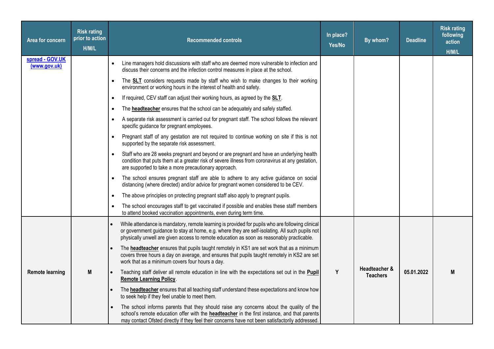| Area for concern                | <b>Risk rating</b><br>prior to action<br>H/M/L | <b>Recommended controls</b>                                                                                                                                                                                                                                                                       | In place?<br>Yes/No | By whom?                         | <b>Deadline</b> | <b>Risk rating</b><br>following<br>action<br>H/M/L |
|---------------------------------|------------------------------------------------|---------------------------------------------------------------------------------------------------------------------------------------------------------------------------------------------------------------------------------------------------------------------------------------------------|---------------------|----------------------------------|-----------------|----------------------------------------------------|
| spread - GOV.UK<br>(www.gov.uk) |                                                | Line managers hold discussions with staff who are deemed more vulnerable to infection and<br>discuss their concerns and the infection control measures in place at the school.                                                                                                                    |                     |                                  |                 |                                                    |
|                                 |                                                | The <b>SLT</b> considers requests made by staff who wish to make changes to their working<br>$\bullet$<br>environment or working hours in the interest of health and safety.                                                                                                                      |                     |                                  |                 |                                                    |
|                                 |                                                | If required, CEV staff can adjust their working hours, as agreed by the <b>SLT</b> .<br>$\bullet$                                                                                                                                                                                                 |                     |                                  |                 |                                                    |
|                                 |                                                | The <b>headteacher</b> ensures that the school can be adequately and safely staffed.<br>$\bullet$                                                                                                                                                                                                 |                     |                                  |                 |                                                    |
|                                 |                                                | A separate risk assessment is carried out for pregnant staff. The school follows the relevant<br>$\bullet$<br>specific guidance for pregnant employees.                                                                                                                                           |                     |                                  |                 |                                                    |
|                                 |                                                | Pregnant staff of any gestation are not required to continue working on site if this is not<br>$\bullet$<br>supported by the separate risk assessment.                                                                                                                                            |                     |                                  |                 |                                                    |
|                                 |                                                | Staff who are 28 weeks pregnant and beyond or are pregnant and have an underlying health<br>$\bullet$<br>condition that puts them at a greater risk of severe illness from coronavirus at any gestation,<br>are supported to take a more precautionary approach.                                  |                     |                                  |                 |                                                    |
|                                 |                                                | The school ensures pregnant staff are able to adhere to any active guidance on social<br>$\bullet$<br>distancing (where directed) and/or advice for pregnant women considered to be CEV.                                                                                                          |                     |                                  |                 |                                                    |
|                                 |                                                | The above principles on protecting pregnant staff also apply to pregnant pupils.<br>$\bullet$                                                                                                                                                                                                     |                     |                                  |                 |                                                    |
|                                 |                                                | The school encourages staff to get vaccinated if possible and enables these staff members<br>to attend booked vaccination appointments, even during term time.                                                                                                                                    |                     |                                  |                 |                                                    |
|                                 |                                                | While attendance is mandatory, remote learning is provided for pupils who are following clinical<br>or government guidance to stay at home, e.g. where they are self-isolating. All such pupils not<br>physically unwell are given access to remote education as soon as reasonably practicable.  |                     |                                  |                 |                                                    |
|                                 |                                                | The headteacher ensures that pupils taught remotely in KS1 are set work that as a minimum<br>covers three hours a day on average, and ensures that pupils taught remotely in KS2 are set<br>work that as a minimum covers four hours a day.                                                       |                     |                                  |                 |                                                    |
| <b>Remote learning</b>          | M                                              | Teaching staff deliver all remote education in line with the expectations set out in the <b>Pupil</b><br><b>Remote Learning Policy.</b>                                                                                                                                                           | Y                   | Headteacher &<br><b>Teachers</b> | 05.01.2022      | M                                                  |
|                                 |                                                | The <b>headteacher</b> ensures that all teaching staff understand these expectations and know how<br>to seek help if they feel unable to meet them.                                                                                                                                               |                     |                                  |                 |                                                    |
|                                 |                                                | The school informs parents that they should raise any concerns about the quality of the<br>school's remote education offer with the <b>headteacher</b> in the first instance, and that parents<br>may contact Ofsted directly if they feel their concerns have not been satisfactorily addressed. |                     |                                  |                 |                                                    |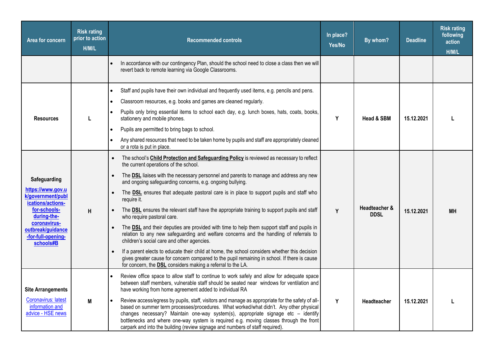| Area for concern                                                                                                                                                                   | <b>Risk rating</b><br>prior to action<br>H/M/L | <b>Recommended controls</b>                                                                                                                                                                                                                                                                                                                                                                                                                                                                                                                                                                                                                                                                                                                                                                                                                                                                                                                                                                                                                                                                         | In place?<br>Yes/No | By whom?                     | <b>Deadline</b> | <b>Risk rating</b><br>following<br>action<br>H/M/L |
|------------------------------------------------------------------------------------------------------------------------------------------------------------------------------------|------------------------------------------------|-----------------------------------------------------------------------------------------------------------------------------------------------------------------------------------------------------------------------------------------------------------------------------------------------------------------------------------------------------------------------------------------------------------------------------------------------------------------------------------------------------------------------------------------------------------------------------------------------------------------------------------------------------------------------------------------------------------------------------------------------------------------------------------------------------------------------------------------------------------------------------------------------------------------------------------------------------------------------------------------------------------------------------------------------------------------------------------------------------|---------------------|------------------------------|-----------------|----------------------------------------------------|
|                                                                                                                                                                                    |                                                | In accordance with our contingency Plan, should the school need to close a class then we will<br>revert back to remote learning via Google Classrooms.                                                                                                                                                                                                                                                                                                                                                                                                                                                                                                                                                                                                                                                                                                                                                                                                                                                                                                                                              |                     |                              |                 |                                                    |
| <b>Resources</b>                                                                                                                                                                   |                                                | Staff and pupils have their own individual and frequently used items, e.g. pencils and pens.<br>Classroom resources, e.g. books and games are cleaned regularly.<br>Pupils only bring essential items to school each day, e.g. lunch boxes, hats, coats, books,<br>stationery and mobile phones.<br>Pupils are permitted to bring bags to school.<br>Any shared resources that need to be taken home by pupils and staff are appropriately cleaned<br>or a rota is put in place.                                                                                                                                                                                                                                                                                                                                                                                                                                                                                                                                                                                                                    | Y                   | Head & SBM                   | 15.12.2021      |                                                    |
| Safeguarding<br>https://www.gov.u<br>k/government/publ<br>ications/actions-<br>for-schools-<br>during-the-<br>coronavirus-<br>outbreak/guidance<br>-for-full-opening-<br>schools#B | H                                              | The school's Child Protection and Safeguarding Policy is reviewed as necessary to reflect<br>$\bullet$<br>the current operations of the school.<br>The <b>DSL</b> liaises with the necessary personnel and parents to manage and address any new<br>$\bullet$<br>and ongoing safeguarding concerns, e.g. ongoing bullying.<br>The <b>DSL</b> ensures that adequate pastoral care is in place to support pupils and staff who<br>$\bullet$<br>require it.<br>The DSL ensures the relevant staff have the appropriate training to support pupils and staff<br>who require pastoral care.<br>The <b>DSL</b> and their deputies are provided with time to help them support staff and pupils in<br>relation to any new safeguarding and welfare concerns and the handling of referrals to<br>children's social care and other agencies.<br>If a parent elects to educate their child at home, the school considers whether this decision<br>gives greater cause for concern compared to the pupil remaining in school. If there is cause<br>for concern, the DSL considers making a referral to the LA. | Y                   | Headteacher &<br><b>DDSL</b> | 15.12.2021      | <b>MH</b>                                          |
| <b>Site Arrangements</b><br>Coronavirus: latest<br>information and<br>advice - HSE news                                                                                            | M                                              | Review office space to allow staff to continue to work safely and allow for adequate space<br>between staff members, vulnerable staff should be seated near windows for ventilation and<br>have working from home agreement added to individual RA<br>Review access/egress by pupils, staff, visitors and manage as appropriate for the safety of all-<br>based on summer term processes/procedures. What worked/what didn't. Any other physical<br>changes necessary? Maintain one-way system(s), appropriate signage etc - identify<br>bottlenecks and where one-way system is required e.g. moving classes through the front<br>carpark and into the building (review signage and numbers of staff required).                                                                                                                                                                                                                                                                                                                                                                                    | Y                   | Headteacher                  | 15.12.2021      |                                                    |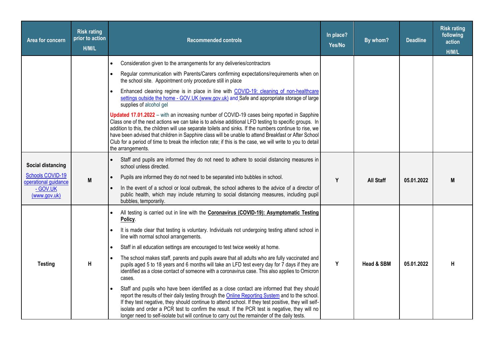| Area for concern                                | <b>Risk rating</b><br>prior to action<br>H/M/L | <b>Recommended controls</b>                                                                                                                                                                                                                                                                                                                                                                                                                                                                                                                               | In place?<br>Yes/No | By whom?         | <b>Deadline</b> | <b>Risk rating</b><br>following<br>action<br>H/M/L |
|-------------------------------------------------|------------------------------------------------|-----------------------------------------------------------------------------------------------------------------------------------------------------------------------------------------------------------------------------------------------------------------------------------------------------------------------------------------------------------------------------------------------------------------------------------------------------------------------------------------------------------------------------------------------------------|---------------------|------------------|-----------------|----------------------------------------------------|
|                                                 |                                                | Consideration given to the arrangements for any deliveries/contractors                                                                                                                                                                                                                                                                                                                                                                                                                                                                                    |                     |                  |                 |                                                    |
|                                                 |                                                | Regular communication with Parents/Carers confirming expectations/requirements when on<br>the school site. Appointment only procedure still in place                                                                                                                                                                                                                                                                                                                                                                                                      |                     |                  |                 |                                                    |
|                                                 |                                                | Enhanced cleaning regime is in place in line with COVID-19: cleaning of non-healthcare<br>settings outside the home - GOV.UK (www.gov.uk) and Safe and appropriate storage of large<br>supplies of alcohol gel                                                                                                                                                                                                                                                                                                                                            |                     |                  |                 |                                                    |
|                                                 |                                                | Updated 17.01.2022 - with an increasing number of COVID-19 cases being reported in Sapphire<br>Class one of the next actions we can take is to advise additional LFD testing to specific groups. In<br>addition to this, the children will use separate toilets and sinks. If the numbers continue to rise, we<br>have been advised that children in Sapphire class will be unable to attend Breakfast or After School<br>Club for a period of time to break the infection rate; if this is the case, we will write to you to detail<br>the arrangements. |                     |                  |                 |                                                    |
| Social distancing                               |                                                | Staff and pupils are informed they do not need to adhere to social distancing measures in<br>school unless directed.                                                                                                                                                                                                                                                                                                                                                                                                                                      |                     |                  |                 |                                                    |
| <b>Schools COVID-19</b><br>operational guidance | M                                              | Pupils are informed they do not need to be separated into bubbles in school.                                                                                                                                                                                                                                                                                                                                                                                                                                                                              | Y                   | <b>All Staff</b> | 05.01.2022      | M                                                  |
| - GOV.UK<br>(www.gov.uk)                        |                                                | In the event of a school or local outbreak, the school adheres to the advice of a director of<br>public health, which may include returning to social distancing measures, including pupil<br>bubbles, temporarily.                                                                                                                                                                                                                                                                                                                                       |                     |                  |                 |                                                    |
|                                                 |                                                | All testing is carried out in line with the Coronavirus (COVID-19): Asymptomatic Testing<br>Policy.                                                                                                                                                                                                                                                                                                                                                                                                                                                       |                     |                  |                 |                                                    |
|                                                 |                                                | It is made clear that testing is voluntary. Individuals not undergoing testing attend school in<br>line with normal school arrangements.                                                                                                                                                                                                                                                                                                                                                                                                                  |                     |                  |                 |                                                    |
|                                                 |                                                | Staff in all education settings are encouraged to test twice weekly at home.                                                                                                                                                                                                                                                                                                                                                                                                                                                                              |                     |                  |                 |                                                    |
| <b>Testing</b>                                  | Н                                              | The school makes staff, parents and pupils aware that all adults who are fully vaccinated and<br>pupils aged 5 to 18 years and 6 months will take an LFD test every day for 7 days if they are<br>identified as a close contact of someone with a coronavirus case. This also applies to Omicron<br>cases.                                                                                                                                                                                                                                                | Y                   | Head & SBM       | 05.01.2022      | Н                                                  |
|                                                 |                                                | Staff and pupils who have been identified as a close contact are informed that they should<br>report the results of their daily testing through the Online Reporting System and to the school.<br>If they test negative, they should continue to attend school. If they test positive, they will self-<br>isolate and order a PCR test to confirm the result. If the PCR test is negative, they will no<br>longer need to self-isolate but will continue to carry out the remainder of the daily tests.                                                   |                     |                  |                 |                                                    |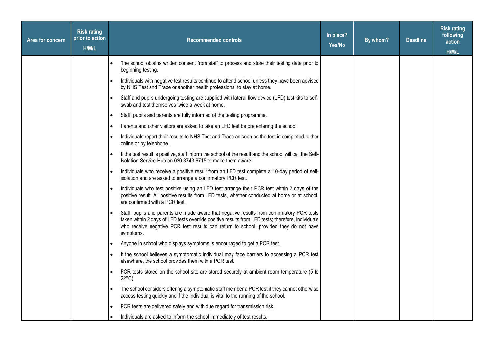| Area for concern | <b>Risk rating</b><br>prior to action<br>H/M/L |           | <b>Recommended controls</b>                                                                                                                                                                                                                                                                           | In place?<br>Yes/No | By whom? | <b>Deadline</b> | <b>Risk rating</b><br>following<br>action<br>H/M/L |
|------------------|------------------------------------------------|-----------|-------------------------------------------------------------------------------------------------------------------------------------------------------------------------------------------------------------------------------------------------------------------------------------------------------|---------------------|----------|-----------------|----------------------------------------------------|
|                  |                                                |           | The school obtains written consent from staff to process and store their testing data prior to<br>beginning testing.                                                                                                                                                                                  |                     |          |                 |                                                    |
|                  |                                                |           | Individuals with negative test results continue to attend school unless they have been advised<br>by NHS Test and Trace or another health professional to stay at home.                                                                                                                               |                     |          |                 |                                                    |
|                  |                                                |           | Staff and pupils undergoing testing are supplied with lateral flow device (LFD) test kits to self-<br>swab and test themselves twice a week at home.                                                                                                                                                  |                     |          |                 |                                                    |
|                  |                                                | $\bullet$ | Staff, pupils and parents are fully informed of the testing programme.                                                                                                                                                                                                                                |                     |          |                 |                                                    |
|                  |                                                |           | Parents and other visitors are asked to take an LFD test before entering the school.                                                                                                                                                                                                                  |                     |          |                 |                                                    |
|                  |                                                |           | Individuals report their results to NHS Test and Trace as soon as the test is completed, either<br>online or by telephone.                                                                                                                                                                            |                     |          |                 |                                                    |
|                  |                                                | $\bullet$ | If the test result is positive, staff inform the school of the result and the school will call the Self-<br>Isolation Service Hub on 020 3743 6715 to make them aware.                                                                                                                                |                     |          |                 |                                                    |
|                  |                                                |           | Individuals who receive a positive result from an LFD test complete a 10-day period of self-<br>isolation and are asked to arrange a confirmatory PCR test.                                                                                                                                           |                     |          |                 |                                                    |
|                  |                                                |           | Individuals who test positive using an LFD test arrange their PCR test within 2 days of the<br>positive result. All positive results from LFD tests, whether conducted at home or at school,<br>are confirmed with a PCR test.                                                                        |                     |          |                 |                                                    |
|                  |                                                |           | Staff, pupils and parents are made aware that negative results from confirmatory PCR tests<br>taken within 2 days of LFD tests override positive results from LFD tests; therefore, individuals<br>who receive negative PCR test results can return to school, provided they do not have<br>symptoms. |                     |          |                 |                                                    |
|                  |                                                |           | Anyone in school who displays symptoms is encouraged to get a PCR test.                                                                                                                                                                                                                               |                     |          |                 |                                                    |
|                  |                                                | $\bullet$ | If the school believes a symptomatic individual may face barriers to accessing a PCR test<br>elsewhere, the school provides them with a PCR test.                                                                                                                                                     |                     |          |                 |                                                    |
|                  |                                                | $\bullet$ | PCR tests stored on the school site are stored securely at ambient room temperature (5 to<br>$22^{\circ}$ C).                                                                                                                                                                                         |                     |          |                 |                                                    |
|                  |                                                |           | The school considers offering a symptomatic staff member a PCR test if they cannot otherwise<br>access testing quickly and if the individual is vital to the running of the school.                                                                                                                   |                     |          |                 |                                                    |
|                  |                                                |           | PCR tests are delivered safely and with due regard for transmission risk.                                                                                                                                                                                                                             |                     |          |                 |                                                    |
|                  |                                                |           | Individuals are asked to inform the school immediately of test results.                                                                                                                                                                                                                               |                     |          |                 |                                                    |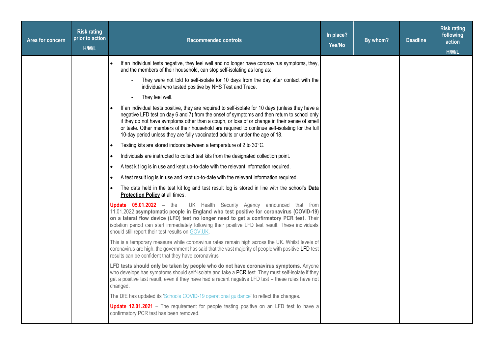| Area for concern | <b>Risk rating</b><br>prior to action<br>H/M/L | <b>Recommended controls</b>                                                                                                                                                                                                                                                                                                                                                                                                                                                                                                                                                                                                                                                                                                                                                                                                                                                                                                                                                                                                                                                                                                                                                                                                                                                                                                                                                                                                                                                                                                                                                                                                                                                                                                                                                                                                                                                                                                                                                                                                                                             | In place?<br>Yes/No | By whom? | <b>Deadline</b> | <b>Risk rating</b><br>following<br>action<br>H/M/L |
|------------------|------------------------------------------------|-------------------------------------------------------------------------------------------------------------------------------------------------------------------------------------------------------------------------------------------------------------------------------------------------------------------------------------------------------------------------------------------------------------------------------------------------------------------------------------------------------------------------------------------------------------------------------------------------------------------------------------------------------------------------------------------------------------------------------------------------------------------------------------------------------------------------------------------------------------------------------------------------------------------------------------------------------------------------------------------------------------------------------------------------------------------------------------------------------------------------------------------------------------------------------------------------------------------------------------------------------------------------------------------------------------------------------------------------------------------------------------------------------------------------------------------------------------------------------------------------------------------------------------------------------------------------------------------------------------------------------------------------------------------------------------------------------------------------------------------------------------------------------------------------------------------------------------------------------------------------------------------------------------------------------------------------------------------------------------------------------------------------------------------------------------------------|---------------------|----------|-----------------|----------------------------------------------------|
|                  |                                                | If an individual tests negative, they feel well and no longer have coronavirus symptoms, they,<br>and the members of their household, can stop self-isolating as long as:<br>They were not told to self-isolate for 10 days from the day after contact with the<br>individual who tested positive by NHS Test and Trace.<br>They feel well.<br>If an individual tests positive, they are required to self-isolate for 10 days (unless they have a<br>negative LFD test on day 6 and 7) from the onset of symptoms and then return to school only<br>if they do not have symptoms other than a cough, or loss of or change in their sense of smell<br>or taste. Other members of their household are required to continue self-isolating for the full<br>10-day period unless they are fully vaccinated adults or under the age of 18.<br>Testing kits are stored indoors between a temperature of 2 to 30°C.<br>$\bullet$<br>Individuals are instructed to collect test kits from the designated collection point.<br>A test kit log is in use and kept up-to-date with the relevant information required.<br>A test result log is in use and kept up-to-date with the relevant information required.<br>The data held in the test kit log and test result log is stored in line with the school's Data<br>$\bullet$<br><b>Protection Policy at all times.</b><br><b>Update 05.01.2022</b> $-$ the<br>UK Health Security Agency announced that from<br>11.01.2022 asymptomatic people in England who test positive for coronavirus (COVID-19)<br>on a lateral flow device (LFD) test no longer need to get a confirmatory PCR test. Their<br>isolation period can start immediately following their positive LFD test result. These individuals<br>should still report their test results on GOV.UK.<br>This is a temporary measure while coronavirus rates remain high across the UK. Whilst levels of<br>coronavirus are high, the government has said that the vast majority of people with positive LFD test<br>results can be confident that they have coronavirus |                     |          |                 |                                                    |
|                  |                                                | LFD tests should only be taken by people who do not have coronavirus symptoms. Anyone<br>who develops has symptoms should self-isolate and take a PCR test. They must self-isolate if they<br>get a positive test result, even if they have had a recent negative LFD test - these rules have not<br>changed.                                                                                                                                                                                                                                                                                                                                                                                                                                                                                                                                                                                                                                                                                                                                                                                                                                                                                                                                                                                                                                                                                                                                                                                                                                                                                                                                                                                                                                                                                                                                                                                                                                                                                                                                                           |                     |          |                 |                                                    |
|                  |                                                | The DfE has updated its 'Schools COVID-19 operational guidance' to reflect the changes.<br><b>Update 12.01.2021</b> – The requirement for people testing positive on an LFD test to have a<br>confirmatory PCR test has been removed.                                                                                                                                                                                                                                                                                                                                                                                                                                                                                                                                                                                                                                                                                                                                                                                                                                                                                                                                                                                                                                                                                                                                                                                                                                                                                                                                                                                                                                                                                                                                                                                                                                                                                                                                                                                                                                   |                     |          |                 |                                                    |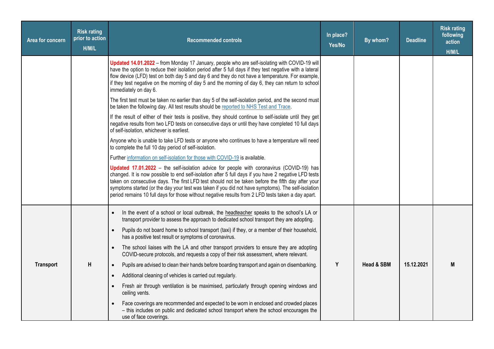| Area for concern | <b>Risk rating</b><br>prior to action<br>H/M/L | <b>Recommended controls</b>                                                                                                                                                                                                                                                                                                                                                                                                                                                                                        | In place?<br>Yes/No | By whom?   | <b>Deadline</b> | <b>Risk rating</b><br>following<br>action<br>H/M/L |
|------------------|------------------------------------------------|--------------------------------------------------------------------------------------------------------------------------------------------------------------------------------------------------------------------------------------------------------------------------------------------------------------------------------------------------------------------------------------------------------------------------------------------------------------------------------------------------------------------|---------------------|------------|-----------------|----------------------------------------------------|
|                  |                                                | Updated 14.01.2022 - from Monday 17 January, people who are self-isolating with COVID-19 will<br>have the option to reduce their isolation period after 5 full days if they test negative with a lateral<br>flow device (LFD) test on both day 5 and day 6 and they do not have a temperature. For example,<br>if they test negative on the morning of day 5 and the morning of day 6, they can return to school<br>immediately on day 6.                                                                          |                     |            |                 |                                                    |
|                  |                                                | The first test must be taken no earlier than day 5 of the self-isolation period, and the second must<br>be taken the following day. All test results should be reported to NHS Test and Trace.                                                                                                                                                                                                                                                                                                                     |                     |            |                 |                                                    |
|                  |                                                | If the result of either of their tests is positive, they should continue to self-isolate until they get<br>negative results from two LFD tests on consecutive days or until they have completed 10 full days<br>of self-isolation, whichever is earliest.                                                                                                                                                                                                                                                          |                     |            |                 |                                                    |
|                  |                                                | Anyone who is unable to take LFD tests or anyone who continues to have a temperature will need<br>to complete the full 10 day period of self-isolation.                                                                                                                                                                                                                                                                                                                                                            |                     |            |                 |                                                    |
|                  |                                                | Further information on self-isolation for those with COVID-19 is available.                                                                                                                                                                                                                                                                                                                                                                                                                                        |                     |            |                 |                                                    |
|                  |                                                | Updated 17.01.2022 - the self-isolation advice for people with coronavirus (COVID-19) has<br>changed. It is now possible to end self-isolation after 5 full days if you have 2 negative LFD tests<br>taken on consecutive days. The first LFD test should not be taken before the fifth day after your<br>symptoms started (or the day your test was taken if you did not have symptoms). The self-isolation<br>period remains 10 full days for those without negative results from 2 LFD tests taken a day apart. |                     |            |                 |                                                    |
|                  |                                                | In the event of a school or local outbreak, the headteacher speaks to the school's LA or<br>transport provider to assess the approach to dedicated school transport they are adopting.                                                                                                                                                                                                                                                                                                                             |                     |            |                 |                                                    |
|                  |                                                | Pupils do not board home to school transport (taxi) if they, or a member of their household,<br>has a positive test result or symptoms of coronavirus.                                                                                                                                                                                                                                                                                                                                                             |                     |            |                 |                                                    |
|                  |                                                | The school liaises with the LA and other transport providers to ensure they are adopting<br>$\bullet$<br>COVID-secure protocols, and requests a copy of their risk assessment, where relevant.                                                                                                                                                                                                                                                                                                                     |                     |            |                 |                                                    |
| <b>Transport</b> | H                                              | Pupils are advised to clean their hands before boarding transport and again on disembarking.<br>$\bullet$                                                                                                                                                                                                                                                                                                                                                                                                          | Y                   | Head & SBM | 15.12.2021      | M                                                  |
|                  |                                                | Additional cleaning of vehicles is carried out regularly.                                                                                                                                                                                                                                                                                                                                                                                                                                                          |                     |            |                 |                                                    |
|                  |                                                | Fresh air through ventilation is be maximised, particularly through opening windows and<br>ceiling vents.                                                                                                                                                                                                                                                                                                                                                                                                          |                     |            |                 |                                                    |
|                  |                                                | Face coverings are recommended and expected to be worn in enclosed and crowded places<br>- this includes on public and dedicated school transport where the school encourages the<br>use of face coverings.                                                                                                                                                                                                                                                                                                        |                     |            |                 |                                                    |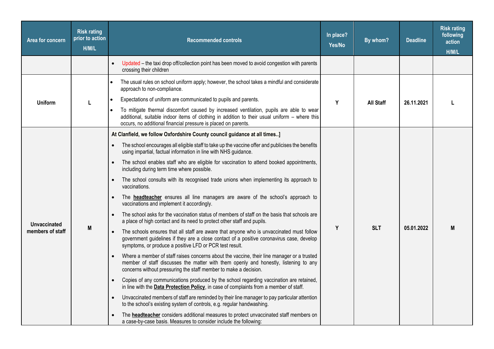| <b>Area for concern</b> | <b>Risk rating</b><br>prior to action<br>H/M/L | <b>Recommended controls</b>                                                                                                                                                                                                                                         | In place?<br>Yes/No | By whom?         | <b>Deadline</b> | <b>Risk rating</b><br>following<br>action<br>H/M/L |
|-------------------------|------------------------------------------------|---------------------------------------------------------------------------------------------------------------------------------------------------------------------------------------------------------------------------------------------------------------------|---------------------|------------------|-----------------|----------------------------------------------------|
|                         |                                                | Updated - the taxi drop off/collection point has been moved to avoid congestion with parents<br>crossing their children                                                                                                                                             |                     |                  |                 |                                                    |
| <b>Uniform</b>          |                                                | The usual rules on school uniform apply; however, the school takes a mindful and considerate<br>approach to non-compliance.                                                                                                                                         |                     |                  |                 |                                                    |
|                         | L                                              | Expectations of uniform are communicated to pupils and parents.                                                                                                                                                                                                     | Y                   | <b>All Staff</b> | 26.11.2021      |                                                    |
|                         |                                                | To mitigate thermal discomfort caused by increased ventilation, pupils are able to wear<br>additional, suitable indoor items of clothing in addition to their usual uniform - where this<br>occurs, no additional financial pressure is placed on parents.          |                     |                  |                 |                                                    |
|                         |                                                | At Clanfield, we follow Oxfordshire County council guidance at all times]                                                                                                                                                                                           |                     |                  |                 |                                                    |
|                         |                                                | The school encourages all eligible staff to take up the vaccine offer and publicises the benefits<br>using impartial, factual information in line with NHS guidance.                                                                                                | Y                   |                  |                 |                                                    |
|                         |                                                | The school enables staff who are eligible for vaccination to attend booked appointments,<br>including during term time where possible.                                                                                                                              |                     |                  |                 |                                                    |
|                         |                                                | The school consults with its recognised trade unions when implementing its approach to<br>vaccinations.                                                                                                                                                             |                     | <b>SLT</b>       |                 |                                                    |
|                         |                                                | The <b>headteacher</b> ensures all line managers are aware of the school's approach to<br>vaccinations and implement it accordingly.                                                                                                                                |                     |                  |                 |                                                    |
| <b>Unvaccinated</b>     |                                                | The school asks for the vaccination status of members of staff on the basis that schools are<br>a place of high contact and its need to protect other staff and pupils.                                                                                             |                     |                  |                 |                                                    |
| members of staff        | M                                              | The schools ensures that all staff are aware that anyone who is unvaccinated must follow<br>government guidelines if they are a close contact of a positive coronavirus case, develop<br>symptoms, or produce a positive LFD or PCR test result.                    |                     |                  | 05.01.2022      | M                                                  |
|                         |                                                | Where a member of staff raises concerns about the vaccine, their line manager or a trusted<br>$\bullet$<br>member of staff discusses the matter with them openly and honestly, listening to any<br>concerns without pressuring the staff member to make a decision. |                     |                  |                 |                                                    |
|                         |                                                | Copies of any communications produced by the school regarding vaccination are retained,<br>$\bullet$<br>in line with the <b>Data Protection Policy</b> , in case of complaints from a member of staff.                                                              |                     |                  |                 |                                                    |
|                         |                                                | Unvaccinated members of staff are reminded by their line manager to pay particular attention<br>to the school's existing system of controls, e.g. regular handwashing.                                                                                              |                     |                  |                 |                                                    |
|                         |                                                | The headteacher considers additional measures to protect unvaccinated staff members on<br>a case-by-case basis. Measures to consider include the following:                                                                                                         |                     |                  |                 |                                                    |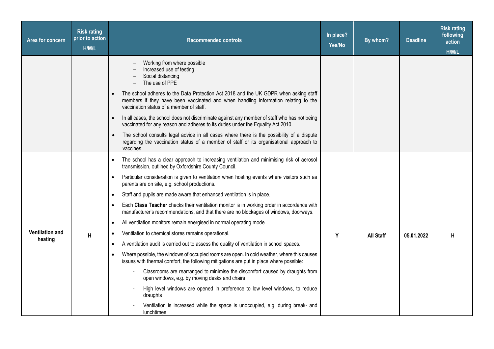| Area for concern                  | <b>Risk rating</b><br>prior to action<br>H/M/L | <b>Recommended controls</b>                                                                                                                                                                                            | In place?<br>Yes/No | By whom?         | <b>Deadline</b> | <b>Risk rating</b><br>following<br>action<br>H/M/L |
|-----------------------------------|------------------------------------------------|------------------------------------------------------------------------------------------------------------------------------------------------------------------------------------------------------------------------|---------------------|------------------|-----------------|----------------------------------------------------|
|                                   |                                                | Working from where possible<br>Increased use of testing<br>Social distancing<br>The use of PPE                                                                                                                         |                     |                  |                 |                                                    |
|                                   |                                                | The school adheres to the Data Protection Act 2018 and the UK GDPR when asking staff<br>members if they have been vaccinated and when handling information relating to the<br>vaccination status of a member of staff. |                     |                  |                 |                                                    |
|                                   |                                                | In all cases, the school does not discriminate against any member of staff who has not being<br>$\bullet$<br>vaccinated for any reason and adheres to its duties under the Equality Act 2010.                          |                     |                  |                 |                                                    |
|                                   |                                                | The school consults legal advice in all cases where there is the possibility of a dispute<br>regarding the vaccination status of a member of staff or its organisational approach to<br>vaccines.                      |                     |                  |                 |                                                    |
|                                   |                                                | The school has a clear approach to increasing ventilation and minimising risk of aerosol<br>$\bullet$<br>transmission, outlined by Oxfordshire County Council.                                                         |                     |                  |                 |                                                    |
|                                   |                                                | Particular consideration is given to ventilation when hosting events where visitors such as<br>$\bullet$<br>parents are on site, e.g. school productions.                                                              |                     |                  |                 |                                                    |
|                                   |                                                | Staff and pupils are made aware that enhanced ventilation is in place.<br>$\bullet$                                                                                                                                    |                     |                  |                 |                                                    |
|                                   |                                                | Each Class Teacher checks their ventilation monitor is in working order in accordance with<br>$\bullet$<br>manufacturer's recommendations, and that there are no blockages of windows, doorways.                       |                     |                  |                 |                                                    |
|                                   |                                                | All ventilation monitors remain energised in normal operating mode.<br>$\bullet$                                                                                                                                       |                     |                  |                 |                                                    |
| <b>Ventilation and</b><br>heating | H                                              | Ventilation to chemical stores remains operational.<br>$\bullet$                                                                                                                                                       | Y                   | <b>All Staff</b> | 05.01.2022      | н                                                  |
|                                   |                                                | A ventilation audit is carried out to assess the quality of ventilation in school spaces.<br>$\bullet$                                                                                                                 |                     |                  |                 |                                                    |
|                                   |                                                | Where possible, the windows of occupied rooms are open. In cold weather, where this causes<br>$\bullet$<br>issues with thermal comfort, the following mitigations are put in place where possible:                     |                     |                  |                 |                                                    |
|                                   |                                                | Classrooms are rearranged to minimise the discomfort caused by draughts from<br>open windows, e.g. by moving desks and chairs                                                                                          |                     |                  |                 |                                                    |
|                                   |                                                | High level windows are opened in preference to low level windows, to reduce<br>draughts                                                                                                                                |                     |                  |                 |                                                    |
|                                   |                                                | Ventilation is increased while the space is unoccupied, e.g. during break- and<br>lunchtimes                                                                                                                           |                     |                  |                 |                                                    |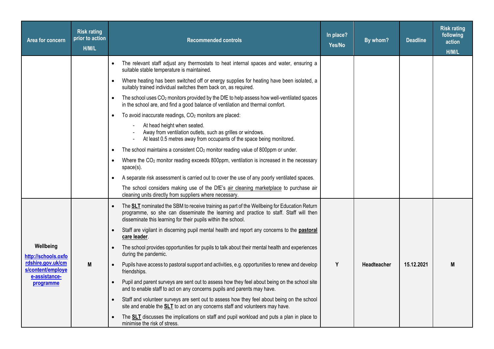| Area for concern                       | <b>Risk rating</b><br>prior to action<br>H/M/L | <b>Recommended controls</b>                                                                                                                                                                                                                                  | In place?<br>Yes/No | By whom?    | <b>Deadline</b> | <b>Risk rating</b><br>following<br>action<br>H/M/L |
|----------------------------------------|------------------------------------------------|--------------------------------------------------------------------------------------------------------------------------------------------------------------------------------------------------------------------------------------------------------------|---------------------|-------------|-----------------|----------------------------------------------------|
|                                        |                                                | The relevant staff adjust any thermostats to heat internal spaces and water, ensuring a<br>$\bullet$<br>suitable stable temperature is maintained.                                                                                                           |                     |             |                 |                                                    |
|                                        |                                                | Where heating has been switched off or energy supplies for heating have been isolated, a<br>$\bullet$<br>suitably trained individual switches them back on, as required.                                                                                     |                     |             |                 |                                                    |
|                                        |                                                | The school uses CO <sub>2</sub> monitors provided by the DfE to help assess how well-ventilated spaces<br>$\bullet$<br>in the school are, and find a good balance of ventilation and thermal comfort.                                                        |                     |             |                 |                                                    |
|                                        |                                                | To avoid inaccurate readings, CO <sub>2</sub> monitors are placed:<br>$\bullet$                                                                                                                                                                              |                     |             |                 |                                                    |
|                                        |                                                | At head height when seated.<br>Away from ventilation outlets, such as grilles or windows.<br>At least 0.5 metres away from occupants of the space being monitored.                                                                                           |                     |             |                 |                                                    |
|                                        |                                                | The school maintains a consistent $CO2$ monitor reading value of 800ppm or under.<br>٠                                                                                                                                                                       |                     |             |                 |                                                    |
|                                        |                                                | Where the CO <sub>2</sub> monitor reading exceeds 800ppm, ventilation is increased in the necessary<br>$\bullet$<br>$space(s)$ .                                                                                                                             |                     |             |                 |                                                    |
|                                        |                                                | A separate risk assessment is carried out to cover the use of any poorly ventilated spaces.<br>$\bullet$                                                                                                                                                     |                     |             |                 |                                                    |
|                                        |                                                | The school considers making use of the DfE's air cleaning marketplace to purchase air<br>cleaning units directly from suppliers where necessary.                                                                                                             |                     |             |                 |                                                    |
|                                        |                                                | The <b>SLT</b> nominated the SBM to receive training as part of the Wellbeing for Education Return<br>programme, so she can disseminate the learning and practice to staff. Staff will then<br>disseminate this learning for their pupils within the school. |                     |             |                 |                                                    |
|                                        |                                                | Staff are vigilant in discerning pupil mental health and report any concerns to the pastoral<br>$\bullet$<br>care leader.                                                                                                                                    |                     |             |                 |                                                    |
| Wellbeing<br>http://schools.oxfo       |                                                | The school provides opportunities for pupils to talk about their mental health and experiences<br>$\bullet$<br>during the pandemic.                                                                                                                          |                     |             |                 |                                                    |
| rdshire.gov.uk/cm<br>s/content/employe | M                                              | Pupils have access to pastoral support and activities, e.g. opportunities to renew and develop<br>friendships.                                                                                                                                               | Y                   | Headteacher | 15.12.2021      | M                                                  |
| e-assistance-<br>programme             |                                                | Pupil and parent surveys are sent out to assess how they feel about being on the school site<br>and to enable staff to act on any concerns pupils and parents may have.                                                                                      |                     |             |                 |                                                    |
|                                        |                                                | Staff and volunteer surveys are sent out to assess how they feel about being on the school<br>$\bullet$<br>site and enable the <b>SLT</b> to act on any concerns staff and volunteers may have.                                                              |                     |             |                 |                                                    |
|                                        |                                                | The <b>SLT</b> discusses the implications on staff and pupil workload and puts a plan in place to<br>$\bullet$<br>minimise the risk of stress.                                                                                                               |                     |             |                 |                                                    |